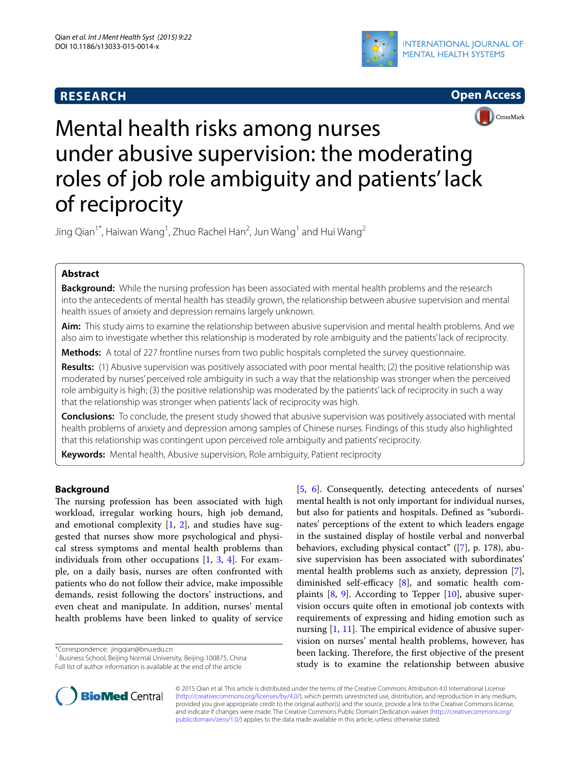# **RESEARCH**





# Mental health risks among nurses under abusive supervision: the moderating roles of job role ambiguity and patients' lack of reciprocity

Jing Qian $^1{}^*$ , Haiwan Wang $^1$ , Zhuo Rachel Han $^2$ , Jun Wang $^1$  and Hui Wang $^2$ 

## **Abstract**

**Background:** While the nursing profession has been associated with mental health problems and the research into the antecedents of mental health has steadily grown, the relationship between abusive supervision and mental health issues of anxiety and depression remains largely unknown.

**Aim:** This study aims to examine the relationship between abusive supervision and mental health problems. And we also aim to investigate whether this relationship is moderated by role ambiguity and the patients' lack of reciprocity.

**Methods:** A total of 227 frontline nurses from two public hospitals completed the survey questionnaire.

**Results:** (1) Abusive supervision was positively associated with poor mental health; (2) the positive relationship was moderated by nurses' perceived role ambiguity in such a way that the relationship was stronger when the perceived role ambiguity is high; (3) the positive relationship was moderated by the patients' lack of reciprocity in such a way that the relationship was stronger when patients' lack of reciprocity was high.

**Conclusions:** To conclude, the present study showed that abusive supervision was positively associated with mental health problems of anxiety and depression among samples of Chinese nurses. Findings of this study also highlighted that this relationship was contingent upon perceived role ambiguity and patients' reciprocity.

**Keywords:** Mental health, Abusive supervision, Role ambiguity, Patient reciprocity

## **Background**

The nursing profession has been associated with high workload, irregular working hours, high job demand, and emotional complexity  $[1, 2]$  $[1, 2]$  $[1, 2]$  $[1, 2]$ , and studies have suggested that nurses show more psychological and physical stress symptoms and mental health problems than individuals from other occupations [\[1](#page-4-0), [3](#page-4-2), [4](#page-4-3)]. For example, on a daily basis, nurses are often confronted with patients who do not follow their advice, make impossible demands, resist following the doctors' instructions, and even cheat and manipulate. In addition, nurses' mental health problems have been linked to quality of service

\*Correspondence: jingqian@bnu.edu.cn

<sup>1</sup> Business School, Beijing Normal University, Beijing 100875, China



© 2015 Qian et al. This article is distributed under the terms of the Creative Commons Attribution 4.0 International License [\(http://creativecommons.org/licenses/by/4.0/\)](http://creativecommons.org/licenses/by/4.0/), which permits unrestricted use, distribution, and reproduction in any medium, provided you give appropriate credit to the original author(s) and the source, provide a link to the Creative Commons license, and indicate if changes were made. The Creative Commons Public Domain Dedication waiver ([http://creativecommons.org/](http://creativecommons.org/publicdomain/zero/1.0/) [publicdomain/zero/1.0/](http://creativecommons.org/publicdomain/zero/1.0/)) applies to the data made available in this article, unless otherwise stated.



Full list of author information is available at the end of the article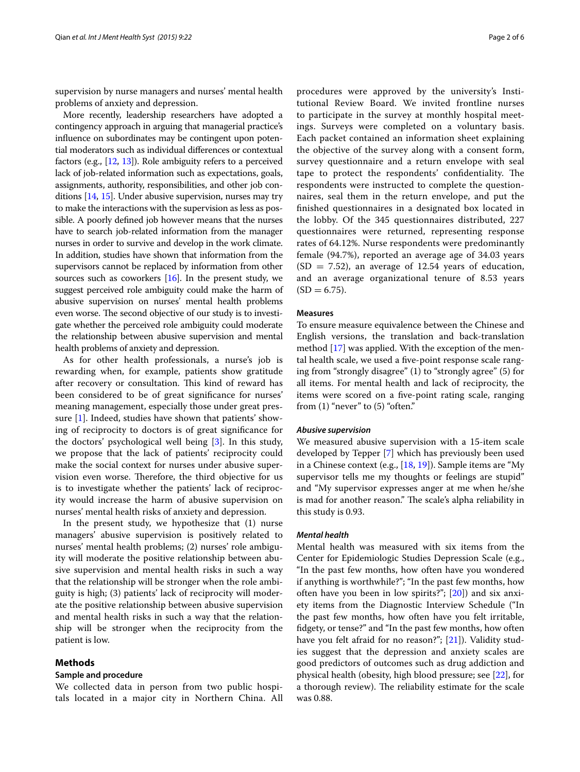supervision by nurse managers and nurses' mental health problems of anxiety and depression.

More recently, leadership researchers have adopted a contingency approach in arguing that managerial practice's influence on subordinates may be contingent upon potential moderators such as individual differences or contextual factors (e.g., [[12](#page-4-11), [13\]](#page-4-12)). Role ambiguity refers to a perceived lack of job-related information such as expectations, goals, assignments, authority, responsibilities, and other job conditions [[14](#page-5-0), [15](#page-5-1)]. Under abusive supervision, nurses may try to make the interactions with the supervision as less as possible. A poorly defined job however means that the nurses have to search job-related information from the manager nurses in order to survive and develop in the work climate. In addition, studies have shown that information from the supervisors cannot be replaced by information from other sources such as coworkers  $[16]$ . In the present study, we suggest perceived role ambiguity could make the harm of abusive supervision on nurses' mental health problems even worse. The second objective of our study is to investigate whether the perceived role ambiguity could moderate the relationship between abusive supervision and mental health problems of anxiety and depression.

As for other health professionals, a nurse's job is rewarding when, for example, patients show gratitude after recovery or consultation. This kind of reward has been considered to be of great significance for nurses' meaning management, especially those under great pressure [[1\]](#page-4-0). Indeed, studies have shown that patients' showing of reciprocity to doctors is of great significance for the doctors' psychological well being [\[3](#page-4-2)]. In this study, we propose that the lack of patients' reciprocity could make the social context for nurses under abusive supervision even worse. Therefore, the third objective for us is to investigate whether the patients' lack of reciprocity would increase the harm of abusive supervision on nurses' mental health risks of anxiety and depression.

In the present study, we hypothesize that (1) nurse managers' abusive supervision is positively related to nurses' mental health problems; (2) nurses' role ambiguity will moderate the positive relationship between abusive supervision and mental health risks in such a way that the relationship will be stronger when the role ambiguity is high; (3) patients' lack of reciprocity will moderate the positive relationship between abusive supervision and mental health risks in such a way that the relationship will be stronger when the reciprocity from the patient is low.

#### **Methods**

#### **Sample and procedure**

We collected data in person from two public hospitals located in a major city in Northern China. All

procedures were approved by the university's Institutional Review Board. We invited frontline nurses to participate in the survey at monthly hospital meetings. Surveys were completed on a voluntary basis. Each packet contained an information sheet explaining the objective of the survey along with a consent form, survey questionnaire and a return envelope with seal tape to protect the respondents' confidentiality. The respondents were instructed to complete the questionnaires, seal them in the return envelope, and put the finished questionnaires in a designated box located in the lobby. Of the 345 questionnaires distributed, 227 questionnaires were returned, representing response rates of 64.12%. Nurse respondents were predominantly female (94.7%), reported an average age of 34.03 years  $(SD = 7.52)$ , an average of 12.54 years of education, and an average organizational tenure of 8.53 years  $(SD = 6.75)$ .

#### **Measures**

To ensure measure equivalence between the Chinese and English versions, the translation and back-translation method [\[17](#page-5-3)] was applied. With the exception of the mental health scale, we used a five-point response scale ranging from "strongly disagree" (1) to "strongly agree" (5) for all items. For mental health and lack of reciprocity, the items were scored on a five-point rating scale, ranging from  $(1)$  "never" to  $(5)$  "often."

#### *Abusive supervision*

We measured abusive supervision with a 15-item scale developed by Tepper [[7\]](#page-4-6) which has previously been used in a Chinese context (e.g., [[18](#page-5-4), [19\]](#page-5-5)). Sample items are "My supervisor tells me my thoughts or feelings are stupid" and "My supervisor expresses anger at me when he/she is mad for another reason." The scale's alpha reliability in this study is 0.93.

## *Mental health*

Mental health was measured with six items from the Center for Epidemiologic Studies Depression Scale (e.g., "In the past few months, how often have you wondered if anything is worthwhile?"; "In the past few months, how often have you been in low spirits?"; [[20](#page-5-6)]) and six anxiety items from the Diagnostic Interview Schedule ("In the past few months, how often have you felt irritable, fidgety, or tense?" and "In the past few months, how often have you felt afraid for no reason?"; [[21\]](#page-5-7)). Validity studies suggest that the depression and anxiety scales are good predictors of outcomes such as drug addiction and physical health (obesity, high blood pressure; see [\[22\]](#page-5-8), for a thorough review). The reliability estimate for the scale was 0.88.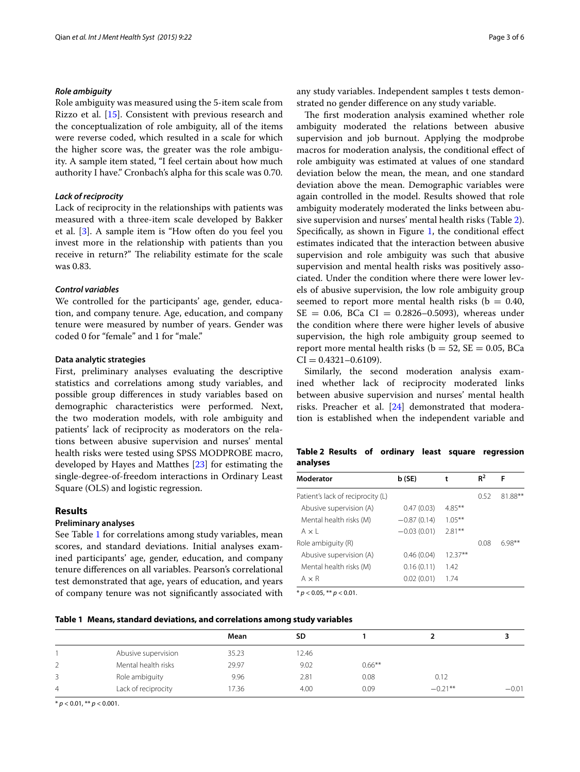#### *Role ambiguity*

Role ambiguity was measured using the 5-item scale from Rizzo et al. [[15](#page-5-1)]. Consistent with previous research and the conceptualization of role ambiguity, all of the items were reverse coded, which resulted in a scale for which the higher score was, the greater was the role ambiguity. A sample item stated, "I feel certain about how much authority I have." Cronbach's alpha for this scale was 0.70.

## *Lack of reciprocity*

Lack of reciprocity in the relationships with patients was measured with a three-item scale developed by Bakker et al. [\[3](#page-4-2)]. A sample item is "How often do you feel you invest more in the relationship with patients than you receive in return?" The reliability estimate for the scale was 0.83.

## *Control variables*

We controlled for the participants' age, gender, education, and company tenure. Age, education, and company tenure were measured by number of years. Gender was coded 0 for "female" and 1 for "male."

#### **Data analytic strategies**

First, preliminary analyses evaluating the descriptive statistics and correlations among study variables, and possible group differences in study variables based on demographic characteristics were performed. Next, the two moderation models, with role ambiguity and patients' lack of reciprocity as moderators on the relations between abusive supervision and nurses' mental health risks were tested using SPSS MODPROBE macro, developed by Hayes and Matthes [\[23](#page-5-9)] for estimating the single-degree-of-freedom interactions in Ordinary Least Square (OLS) and logistic regression.

## **Results**

#### **Preliminary analyses**

See Table [1](#page-2-0) for correlations among study variables, mean scores, and standard deviations. Initial analyses examined participants' age, gender, education, and company tenure differences on all variables. Pearson's correlational test demonstrated that age, years of education, and years of company tenure was not significantly associated with

any study variables. Independent samples t tests demonstrated no gender difference on any study variable.

The first moderation analysis examined whether role ambiguity moderated the relations between abusive supervision and job burnout. Applying the modprobe macros for moderation analysis, the conditional effect of role ambiguity was estimated at values of one standard deviation below the mean, the mean, and one standard deviation above the mean. Demographic variables were again controlled in the model. Results showed that role ambiguity moderately moderated the links between abusive supervision and nurses' mental health risks (Table [2](#page-2-1)). Specifically, as shown in Figure [1](#page-3-0), the conditional effect estimates indicated that the interaction between abusive supervision and role ambiguity was such that abusive supervision and mental health risks was positively associated. Under the condition where there were lower levels of abusive supervision, the low role ambiguity group seemed to report more mental health risks ( $b = 0.40$ ,  $SE = 0.06$ , BCa CI = 0.2826-0.5093), whereas under the condition where there were higher levels of abusive supervision, the high role ambiguity group seemed to report more mental health risks ( $b = 52$ ,  $SE = 0.05$ , BCa  $CI = 0.4321 - 0.6109$ .

Similarly, the second moderation analysis examined whether lack of reciprocity moderated links between abusive supervision and nurses' mental health risks. Preacher et al. [[24](#page-5-10)] demonstrated that moderation is established when the independent variable and

<span id="page-2-1"></span>**Table 2 Results of ordinary least square regression analyses**

| Moderator                         | b (SE)        | t         | $R^2$ | F        |
|-----------------------------------|---------------|-----------|-------|----------|
| Patient's lack of reciprocity (L) |               |           | 0.52  | 81.88**  |
| Abusive supervision (A)           | 0.47(0.03)    | $4.85***$ |       |          |
| Mental health risks (M)           | $-0.87(0.14)$ | $1.05***$ |       |          |
| $A \times I$                      | $-0.03(0.01)$ | $2.81**$  |       |          |
| Role ambiguity (R)                |               |           | 0.08  | $6.98**$ |
| Abusive supervision (A)           | 0.46(0.04)    | $12.37**$ |       |          |
| Mental health risks (M)           | 0.16(0.11)    | 1.42      |       |          |
| $A \times R$                      | 0.02(0.01)    | 1.74      |       |          |
| $* p < 0.05$ , $** p < 0.01$ .    |               |           |       |          |

<span id="page-2-0"></span>

|  | Table 1   Means, standard deviations, and correlations among study variables |  |  |  |  |
|--|------------------------------------------------------------------------------|--|--|--|--|
|--|------------------------------------------------------------------------------|--|--|--|--|

|                |                     | Mean  | SD    |           |           |         |  |
|----------------|---------------------|-------|-------|-----------|-----------|---------|--|
|                | Abusive supervision | 35.23 | 12.46 |           |           |         |  |
| $\overline{2}$ | Mental health risks | 29.97 | 9.02  | $0.66***$ |           |         |  |
| 3              | Role ambiguity      | 9.96  | 2.81  | 0.08      | 0.12      |         |  |
| $\overline{4}$ | Lack of reciprocity | 17.36 | 4.00  | 0.09      | $-0.21**$ | $-0.01$ |  |
|                |                     |       |       |           |           |         |  |

\* *p* < 0.01, \*\* *p* < 0.001.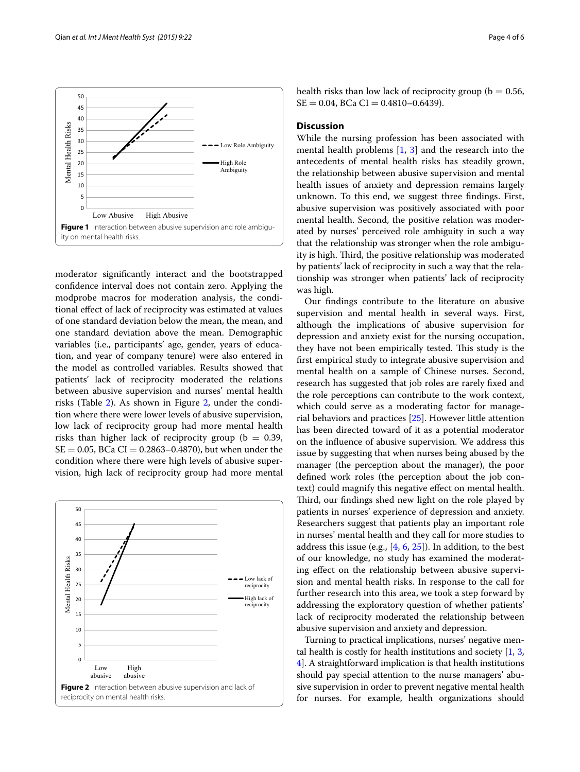

<span id="page-3-0"></span>moderator significantly interact and the bootstrapped confidence interval does not contain zero. Applying the modprobe macros for moderation analysis, the conditional effect of lack of reciprocity was estimated at values of one standard deviation below the mean, the mean, and one standard deviation above the mean. Demographic variables (i.e., participants' age, gender, years of education, and year of company tenure) were also entered in the model as controlled variables. Results showed that patients' lack of reciprocity moderated the relations between abusive supervision and nurses' mental health risks (Table [2\)](#page-2-1). As shown in Figure [2,](#page-3-1) under the condition where there were lower levels of abusive supervision, low lack of reciprocity group had more mental health risks than higher lack of reciprocity group ( $b = 0.39$ ,  $SE = 0.05$ ,  $BCa CI = 0.2863 - 0.4870$ , but when under the condition where there were high levels of abusive supervision, high lack of reciprocity group had more mental

<span id="page-3-1"></span>

health risks than low lack of reciprocity group ( $b = 0.56$ ,  $SE = 0.04$ ,  $BCa CI = 0.4810 - 0.6439$ .

## **Discussion**

While the nursing profession has been associated with mental health problems [\[1](#page-4-0), [3\]](#page-4-2) and the research into the antecedents of mental health risks has steadily grown, the relationship between abusive supervision and mental health issues of anxiety and depression remains largely unknown. To this end, we suggest three findings. First, abusive supervision was positively associated with poor mental health. Second, the positive relation was moderated by nurses' perceived role ambiguity in such a way that the relationship was stronger when the role ambiguity is high. Third, the positive relationship was moderated by patients' lack of reciprocity in such a way that the relationship was stronger when patients' lack of reciprocity was high.

Our findings contribute to the literature on abusive supervision and mental health in several ways. First, although the implications of abusive supervision for depression and anxiety exist for the nursing occupation, they have not been empirically tested. This study is the first empirical study to integrate abusive supervision and mental health on a sample of Chinese nurses. Second, research has suggested that job roles are rarely fixed and the role perceptions can contribute to the work context, which could serve as a moderating factor for managerial behaviors and practices [[25\]](#page-5-11). However little attention has been directed toward of it as a potential moderator on the influence of abusive supervision. We address this issue by suggesting that when nurses being abused by the manager (the perception about the manager), the poor defined work roles (the perception about the job context) could magnify this negative effect on mental health. Third, our findings shed new light on the role played by patients in nurses' experience of depression and anxiety. Researchers suggest that patients play an important role in nurses' mental health and they call for more studies to address this issue (e.g., [[4,](#page-4-3) [6](#page-4-5), [25](#page-5-11)]). In addition, to the best of our knowledge, no study has examined the moderating effect on the relationship between abusive supervision and mental health risks. In response to the call for further research into this area, we took a step forward by addressing the exploratory question of whether patients' lack of reciprocity moderated the relationship between abusive supervision and anxiety and depression.

Turning to practical implications, nurses' negative mental health is costly for health institutions and society [[1,](#page-4-0) [3](#page-4-2), [4\]](#page-4-3). A straightforward implication is that health institutions should pay special attention to the nurse managers' abusive supervision in order to prevent negative mental health for nurses. For example, health organizations should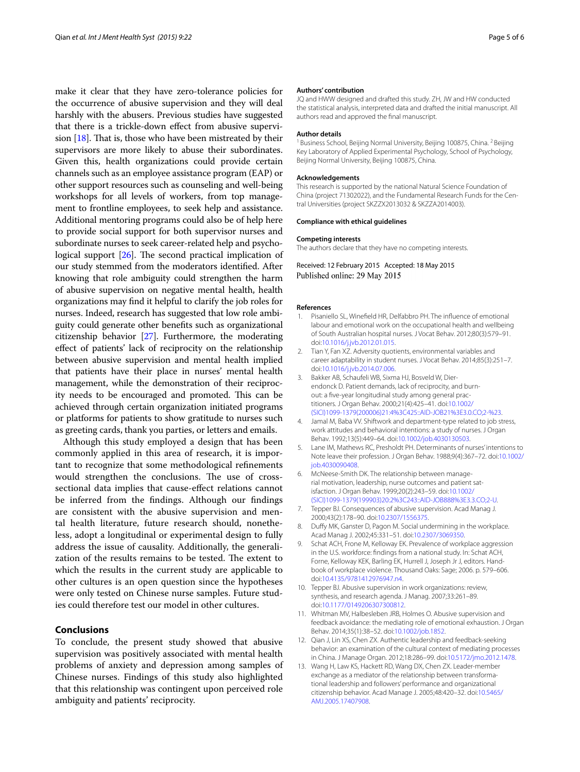make it clear that they have zero-tolerance policies for the occurrence of abusive supervision and they will deal harshly with the abusers. Previous studies have suggested that there is a trickle-down effect from abusive supervision  $[18]$  $[18]$ . That is, those who have been mistreated by their supervisors are more likely to abuse their subordinates. Given this, health organizations could provide certain channels such as an employee assistance program (EAP) or other support resources such as counseling and well-being workshops for all levels of workers, from top management to frontline employees, to seek help and assistance. Additional mentoring programs could also be of help here to provide social support for both supervisor nurses and subordinate nurses to seek career-related help and psychological support [\[26\]](#page-5-12). The second practical implication of our study stemmed from the moderators identified. After knowing that role ambiguity could strengthen the harm of abusive supervision on negative mental health, health organizations may find it helpful to clarify the job roles for nurses. Indeed, research has suggested that low role ambiguity could generate other benefits such as organizational citizenship behavior [\[27\]](#page-5-13). Furthermore, the moderating effect of patients' lack of reciprocity on the relationship between abusive supervision and mental health implied that patients have their place in nurses' mental health management, while the demonstration of their reciprocity needs to be encouraged and promoted. This can be achieved through certain organization initiated programs or platforms for patients to show gratitude to nurses such as greeting cards, thank you parties, or letters and emails.

Although this study employed a design that has been commonly applied in this area of research, it is important to recognize that some methodological refinements would strengthen the conclusions. The use of crosssectional data implies that cause-effect relations cannot be inferred from the findings. Although our findings are consistent with the abusive supervision and mental health literature, future research should, nonetheless, adopt a longitudinal or experimental design to fully address the issue of causality. Additionally, the generalization of the results remains to be tested. The extent to which the results in the current study are applicable to other cultures is an open question since the hypotheses were only tested on Chinese nurse samples. Future studies could therefore test our model in other cultures.

## **Conclusions**

To conclude, the present study showed that abusive supervision was positively associated with mental health problems of anxiety and depression among samples of Chinese nurses. Findings of this study also highlighted that this relationship was contingent upon perceived role ambiguity and patients' reciprocity.

#### **Authors' contribution**

JQ and HWW designed and drafted this study. ZH, JW and HW conducted the statistical analysis, interpreted data and drafted the initial manuscript. All authors read and approved the final manuscript.

#### **Author details**

 $^{\text{\tiny{\textsf{1}}}}$  Business School, Beijing Normal University, Beijing 100875, China.  $^{\text{\tiny{\textsf{2}}}}$  Beijing Key Laboratory of Applied Experimental Psychology, School of Psychology, Beijing Normal University, Beijing 100875, China.

#### **Acknowledgements**

This research is supported by the national Natural Science Foundation of China (project 71302022), and the Fundamental Research Funds for the Central Universities (project SKZZX2013032 & SKZZA2014003).

#### **Compliance with ethical guidelines**

#### **Competing interests**

The authors declare that they have no competing interests.

Received: 12 February 2015 Accepted: 18 May 2015 Published online: 29 May 2015

#### **References**

- <span id="page-4-0"></span>1. Pisaniello SL, Winefield HR, Delfabbro PH. The influence of emotional labour and emotional work on the occupational health and wellbeing of South Australian hospital nurses. J Vocat Behav. 2012;80(3):579–91. doi:[10.1016/j.jvb.2012.01.015](http://dx.doi.org/10.1016/j.jvb.2012.01.015).
- <span id="page-4-1"></span>2. Tian Y, Fan XZ. Adversity quotients, environmental variables and career adaptability in student nurses. J Vocat Behav. 2014;85(3):251–7. doi:[10.1016/j.jvb.2014.07.006](http://dx.doi.org/10.1016/j.jvb.2014.07.006).
- <span id="page-4-2"></span>3. Bakker AB, Schaufeli WB, Sixma HJ, Bosveld W, Dierendonck D. Patient demands, lack of reciprocity, and burnout: a five-year longitudinal study among general practitioners. J Organ Behav. 2000;21(4):425–41. doi:[10.1002/](http://dx.doi.org/10.1002/(SICI)1099-1379(200006)21:4%3C425::AID-JOB21%3E3.0.CO;2-%23) [\(SICI\)1099-1379\(200006\)21:4%3C425::AID-JOB21%3E3.0.CO;2-%23.](http://dx.doi.org/10.1002/(SICI)1099-1379(200006)21:4%3C425::AID-JOB21%3E3.0.CO;2-%23)
- <span id="page-4-3"></span>4. Jamal M, Baba VV. Shiftwork and department-type related to job stress, work attitudes and behavioral intentions: a study of nurses. J Organ Behav. 1992;13(5):449–64. doi:[10.1002/job.4030130503](http://dx.doi.org/10.1002/job.4030130503).
- <span id="page-4-4"></span>5. Lane IM, Mathews RC, Presholdt PH. Determinants of nurses' intentions to Note leave their profession. J Organ Behav. 1988;9(4):367–72. doi[:10.1002/](http://dx.doi.org/10.1002/job.4030090408) iob.4030090408.
- <span id="page-4-5"></span>6. McNeese-Smith DK. The relationship between managerial motivation, leadership, nurse outcomes and patient satisfaction. J Organ Behav. 1999;20(2):243–59. doi[:10.1002/](http://dx.doi.org/10.1002/(SICI)1099-1379(199903)20:2%3C243::AID-JOB888%3E3.3.CO;2-U) [\(SICI\)1099-1379\(199903\)20:2%3C243::AID-JOB888%3E3.3.CO;2-U](http://dx.doi.org/10.1002/(SICI)1099-1379(199903)20:2%3C243::AID-JOB888%3E3.3.CO;2-U).
- <span id="page-4-6"></span>Tepper BJ. Consequences of abusive supervision. Acad Manag J. 2000;43(2):178–90. doi:[10.2307/1556375](http://dx.doi.org/10.2307/1556375).
- <span id="page-4-7"></span>8. Duffy MK, Ganster D, Pagon M. Social undermining in the workplace. Acad Manag J. 2002;45:331–51. doi:[10.2307/3069350](http://dx.doi.org/10.2307/3069350).
- <span id="page-4-8"></span>9. Schat ACH, Frone M, Kelloway EK. Prevalence of workplace aggression in the U.S. workforce: findings from a national study. In: Schat ACH, Forne, Kelloway KEK, Barling EK, Hurrell J, Joseph Jr J, editors. Handbook of workplace violence. Thousand Oaks: Sage; 2006. p. 579–606. doi:[10.4135/9781412976947.n4](http://dx.doi.org/10.4135/9781412976947.n4).
- <span id="page-4-9"></span>10. Tepper BJ. Abusive supervision in work organizations: review, synthesis, and research agenda. J Manag. 2007;33:261–89. doi:[10.1177/0149206307300812](http://dx.doi.org/10.1177/0149206307300812).
- <span id="page-4-10"></span>11. Whitman MV, Halbesleben JRB, Holmes O. Abusive supervision and feedback avoidance: the mediating role of emotional exhaustion. J Organ Behav. 2014;35(1):38–52. doi[:10.1002/job.1852.](http://dx.doi.org/10.1002/job.1852)
- <span id="page-4-11"></span>12. Qian J, Lin XS, Chen ZX. Authentic leadership and feedback-seeking behavior: an examination of the cultural context of mediating processes in China. J Manage Organ. 2012;18:286–99. doi:[10.5172/jmo.2012.1478](http://dx.doi.org/10.5172/jmo.2012.1478).
- <span id="page-4-12"></span>13. Wang H, Law KS, Hackett RD, Wang DX, Chen ZX. Leader-member exchange as a mediator of the relationship between transformational leadership and followers' performance and organizational citizenship behavior. Acad Manage J. 2005;48:420–32. doi[:10.5465/](http://dx.doi.org/10.5465/AMJ.2005.17407908) [AMJ.2005.17407908.](http://dx.doi.org/10.5465/AMJ.2005.17407908)